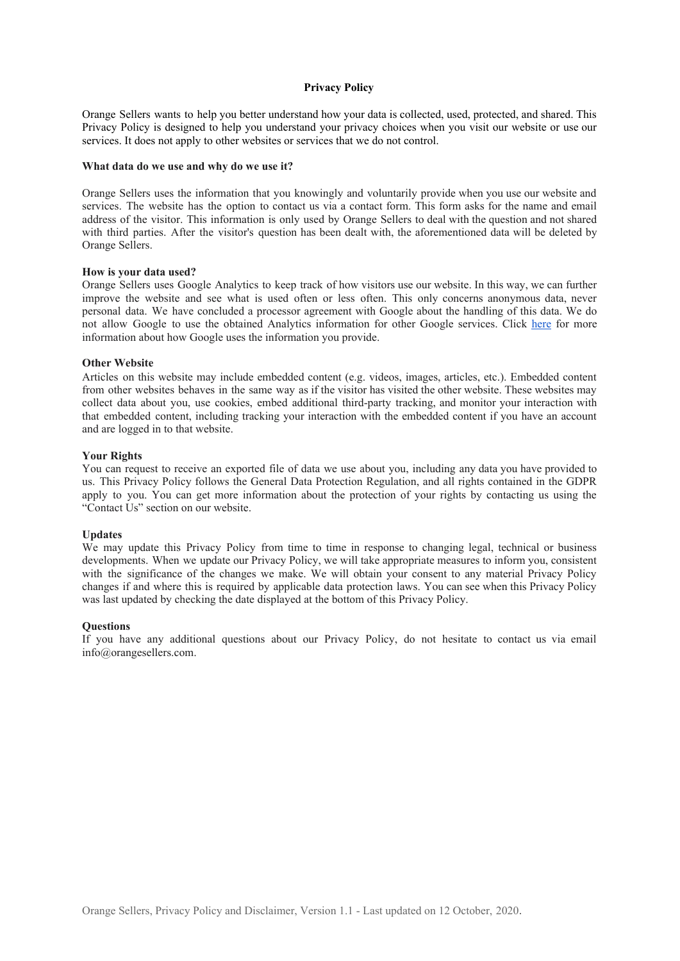### **Privacy Policy**

Orange Sellers wants to help you better understand how your data is collected, used, protected, and shared. This Privacy Policy is designed to help you understand your privacy choices when you visit our website or use our services. It does not apply to other websites or services that we do not control.

#### **What data do we use and why do we use it?**

Orange Sellers uses the information that you knowingly and voluntarily provide when you use our website and services. The website has the option to contact us via a contact form. This form asks for the name and email address of the visitor. This information is only used by Orange Sellers to deal with the question and not shared with third parties. After the visitor's question has been dealt with, the aforementioned data will be deleted by Orange Sellers.

#### **How is your data used?**

Orange Sellers uses Google Analytics to keep track of how visitors use our website. In this way, we can further improve the website and see what is used often or less often. This only concerns anonymous data, never personal data. We have concluded a processor agreement with Google about the handling of this data. We do not allow Google to use the obtained Analytics information for other Google services. Click [here](https://policies.google.com/technologies/partner-sites?hl=en-GB&gl=uk) for more information about how Google uses the information you provide.

## **Other Website**

Articles on this website may include embedded content (e.g. videos, images, articles, etc.). Embedded content from other websites behaves in the same way as if the visitor has visited the other website. These websites may collect data about you, use cookies, embed additional third-party tracking, and monitor your interaction with that embedded content, including tracking your interaction with the embedded content if you have an account and are logged in to that website.

### **Your Rights**

You can request to receive an exported file of data we use about you, including any data you have provided to us. This Privacy Policy follows the General Data Protection Regulation, and all rights contained in the GDPR apply to you. You can get more information about the protection of your rights by contacting us using the "Contact Us" section on our website.

### **Updates**

We may update this Privacy Policy from time to time in response to changing legal, technical or business developments. When we update our Privacy Policy, we will take appropriate measures to inform you, consistent with the significance of the changes we make. We will obtain your consent to any material Privacy Policy changes if and where this is required by applicable data protection laws. You can see when this Privacy Policy was last updated by checking the date displayed at the bottom of this Privacy Policy.

# **Questions**

If you have any additional questions about our Privacy Policy, do not hesitate to contact us via email info@orangesellers.com.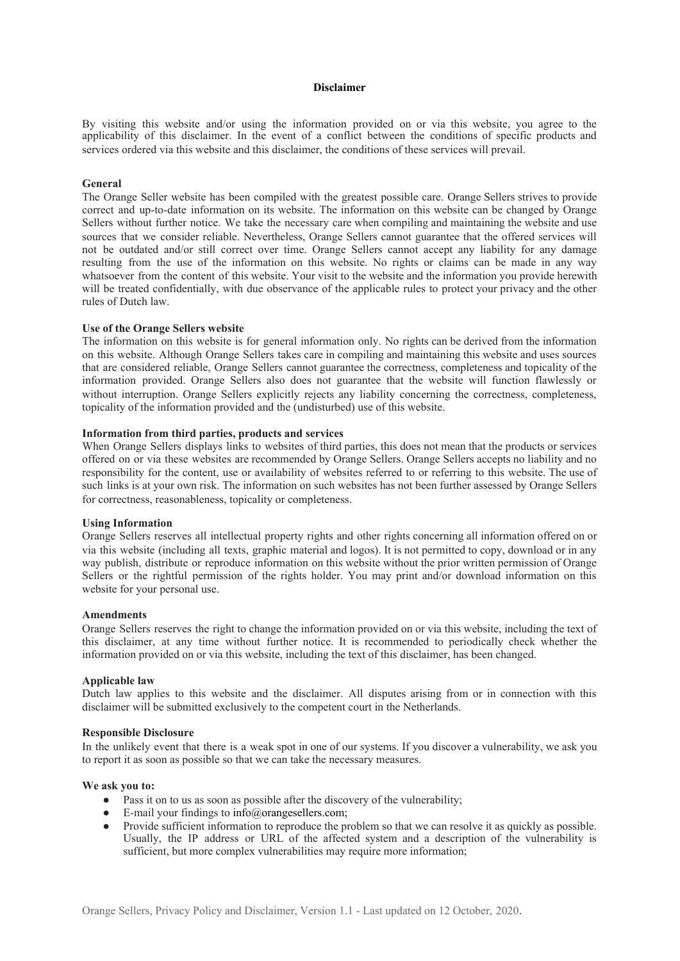### **Disclaimer**

By visiting this website and/or using the information provided on or via this website, you agree to the applicability of this disclaimer. In the event of a conflict between the conditions of specific products and services ordered via this website and this disclaimer, the conditions of these services will prevail.

# **General**

The Orange Seller website has been compiled with the greatest possible care. Orange Sellers strives to provide correct and up-to-date information on its website. The information on this website can be changed by Orange Sellers without further notice. We take the necessary care when compiling and maintaining the website and use sources that we consider reliable. Nevertheless, Orange Sellers cannot guarantee that the offered services will not be outdated and/or still correct over time. Orange Sellers cannot accept any liability for any damage resulting from the use of the information on this website. No rights or claims can be made in any way whatsoever from the content of this website. Your visit to the website and the information you provide herewith will be treated confidentially, with due observance of the applicable rules to protect your privacy and the other rules of Dutch law.

### **Use of the Orange Sellers website**

The information on this website is for general information only. No rights can be derived from the information on this website. Although Orange Sellers takes care in compiling and maintaining this website and uses sources that are considered reliable, Orange Sellers cannot guarantee the correctness, completeness and topicality of the information provided. Orange Sellers also does not guarantee that the website will function flawlessly or without interruption. Orange Sellers explicitly rejects any liability concerning the correctness, completeness, topicality of the information provided and the (undisturbed) use of this website.

# **Information from third parties, products and services**

When Orange Sellers displays links to websites of third parties, this does not mean that the products or services offered on or via these websites are recommended by Orange Sellers. Orange Sellers accepts no liability and no responsibility for the content, use or availability of websites referred to or referring to this website. The use of such links is at your own risk. The information on such websites has not been further assessed by Orange Sellers for correctness, reasonableness, topicality or completeness.

# **Using Information**

Orange Sellers reserves all intellectual property rights and other rights concerning all information offered on or via this website (including all texts, graphic material and logos). It is not permitted to copy, download or in any way publish, distribute or reproduce information on this website without the prior written permission of Orange Sellers or the rightful permission of the rights holder. You may print and/or download information on this website for your personal use.

### **Amendments**

Orange Sellers reserves the right to change the information provided on or via this website, including the text of this disclaimer, at any time without further notice. It is recommended to periodically check whether the information provided on or via this website, including the text of this disclaimer, has been changed.

### **Applicable law**

Dutch law applies to this website and the disclaimer. All disputes arising from or in connection with this disclaimer will be submitted exclusively to the competent court in the Netherlands.

### **Responsible Disclosure**

In the unlikely event that there is a weak spot in one of our systems. If you discover a vulnerability, we ask you to report it as soon as possible so that we can take the necessary measures.

## **We ask you to:**

- Pass it on to us as soon as possible after the discovery of the vulnerability;
- E-mail your findings to  $info@orange$ sellers.com;
- Provide sufficient information to reproduce the problem so that we can resolve it as quickly as possible. Usually, the IP address or URL of the affected system and a description of the vulnerability is sufficient, but more complex vulnerabilities may require more information;